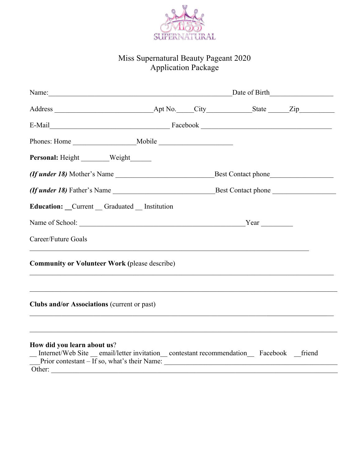

## Miss Supernatural Beauty Pageant 2020 Application Package

| Personal: Height ______ Weight _____                                                                                                                                                                                    |      |  |  |  |  |  |  |  |
|-------------------------------------------------------------------------------------------------------------------------------------------------------------------------------------------------------------------------|------|--|--|--|--|--|--|--|
|                                                                                                                                                                                                                         |      |  |  |  |  |  |  |  |
|                                                                                                                                                                                                                         |      |  |  |  |  |  |  |  |
| Education: Current Graduated Institution                                                                                                                                                                                |      |  |  |  |  |  |  |  |
|                                                                                                                                                                                                                         | Year |  |  |  |  |  |  |  |
| Career/Future Goals<br>,我们也不能在这里的人,我们也不能在这里的人,我们也不能在这里的人,我们也不能在这里的人,我们也不能在这里的人,我们也不能在这里的人,我们也不能在这里的人,我们也                                                                                                                |      |  |  |  |  |  |  |  |
| <b>Community or Volunteer Work (please describe)</b>                                                                                                                                                                    |      |  |  |  |  |  |  |  |
| <b>Clubs and/or Associations (current or past)</b>                                                                                                                                                                      |      |  |  |  |  |  |  |  |
| How did you learn about us?<br>_Internet/Web Site _email/letter invitation_contestant recommendation_Facebook _friend<br>$\overline{\phantom{a}}$ Prior contestant – If so, what's their Name: $\overline{\phantom{a}}$ |      |  |  |  |  |  |  |  |